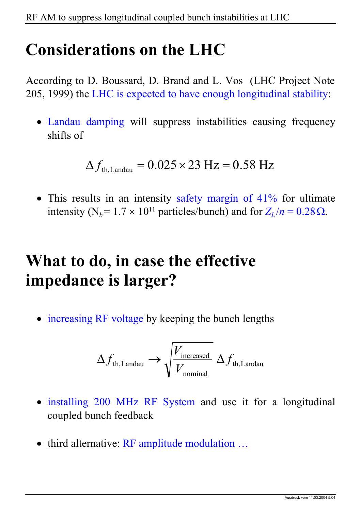### **Considerations on the LHC**

According to D. Boussard, D. Brand and L. Vos (LHC Project Note 205, 1999) the LHC is expected to have enough longitudinal stability:

• Landau damping will suppress instabilities causing frequency shifts of

$$
\Delta f_{\text{th, Landau}} = 0.025 \times 23 \text{ Hz} = 0.58 \text{ Hz}
$$

• This results in an intensity safety margin of 41% for ultimate intensity (N<sub>b</sub>=  $1.7 \times 10^{11}$  particles/bunch) and for  $Z_L/n = 0.28 \Omega$ .

# **What to do, in case the effective impedance is larger?**

• increasing RF voltage by keeping the bunch lengths

$$
\Delta f_{\text{th, Landau}} \rightarrow \sqrt{\frac{V_{\text{increased}}}{V_{\text{nominal}}}} \; \Delta f_{\text{th, Landau}}
$$

- installing 200 MHz RF System and use it for a longitudinal coupled bunch feedback
- third alternative: RF amplitude modulation ...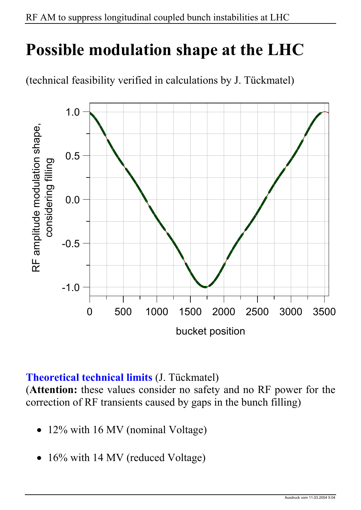### **Possible modulation shape at the LHC**





#### **Theoretical technical limits** (J. Tückmatel)

(**Attention:** these values consider no safety and no RF power for the correction of RF transients caused by gaps in the bunch filling)

- 12% with 16 MV (nominal Voltage)
- 16% with 14 MV (reduced Voltage)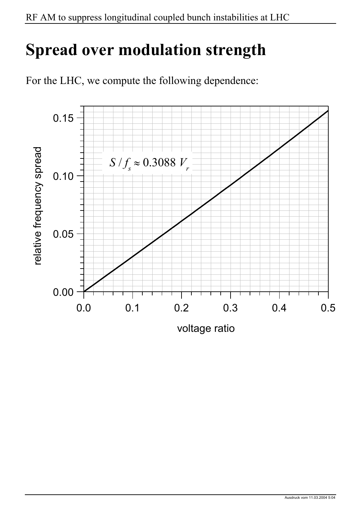## **Spread over modulation strength**

For the LHC, we compute the following dependence:



voltage ratio